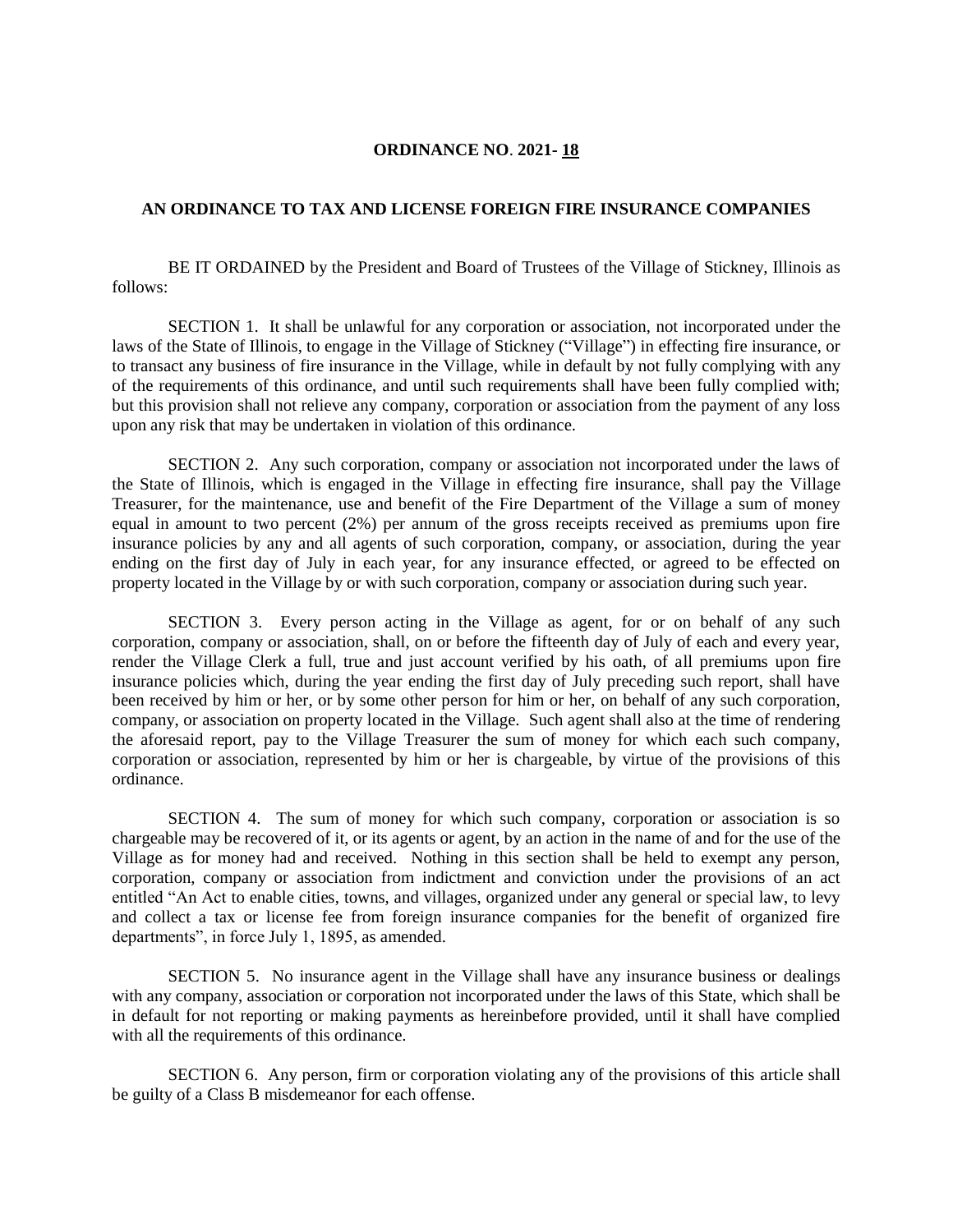## **ORDINANCE NO**. **2021- 18**

## **AN ORDINANCE TO TAX AND LICENSE FOREIGN FIRE INSURANCE COMPANIES**

BE IT ORDAINED by the President and Board of Trustees of the Village of Stickney, Illinois as follows:

SECTION 1. It shall be unlawful for any corporation or association, not incorporated under the laws of the State of Illinois, to engage in the Village of Stickney ("Village") in effecting fire insurance, or to transact any business of fire insurance in the Village, while in default by not fully complying with any of the requirements of this ordinance, and until such requirements shall have been fully complied with; but this provision shall not relieve any company, corporation or association from the payment of any loss upon any risk that may be undertaken in violation of this ordinance.

SECTION 2. Any such corporation, company or association not incorporated under the laws of the State of Illinois, which is engaged in the Village in effecting fire insurance, shall pay the Village Treasurer, for the maintenance, use and benefit of the Fire Department of the Village a sum of money equal in amount to two percent (2%) per annum of the gross receipts received as premiums upon fire insurance policies by any and all agents of such corporation, company, or association, during the year ending on the first day of July in each year, for any insurance effected, or agreed to be effected on property located in the Village by or with such corporation, company or association during such year.

SECTION 3. Every person acting in the Village as agent, for or on behalf of any such corporation, company or association, shall, on or before the fifteenth day of July of each and every year, render the Village Clerk a full, true and just account verified by his oath, of all premiums upon fire insurance policies which, during the year ending the first day of July preceding such report, shall have been received by him or her, or by some other person for him or her, on behalf of any such corporation, company, or association on property located in the Village. Such agent shall also at the time of rendering the aforesaid report, pay to the Village Treasurer the sum of money for which each such company, corporation or association, represented by him or her is chargeable, by virtue of the provisions of this ordinance.

SECTION 4. The sum of money for which such company, corporation or association is so chargeable may be recovered of it, or its agents or agent, by an action in the name of and for the use of the Village as for money had and received. Nothing in this section shall be held to exempt any person, corporation, company or association from indictment and conviction under the provisions of an act entitled "An Act to enable cities, towns, and villages, organized under any general or special law, to levy and collect a tax or license fee from foreign insurance companies for the benefit of organized fire departments", in force July 1, 1895, as amended.

SECTION 5. No insurance agent in the Village shall have any insurance business or dealings with any company, association or corporation not incorporated under the laws of this State, which shall be in default for not reporting or making payments as hereinbefore provided, until it shall have complied with all the requirements of this ordinance.

SECTION 6. Any person, firm or corporation violating any of the provisions of this article shall be guilty of a Class B misdemeanor for each offense.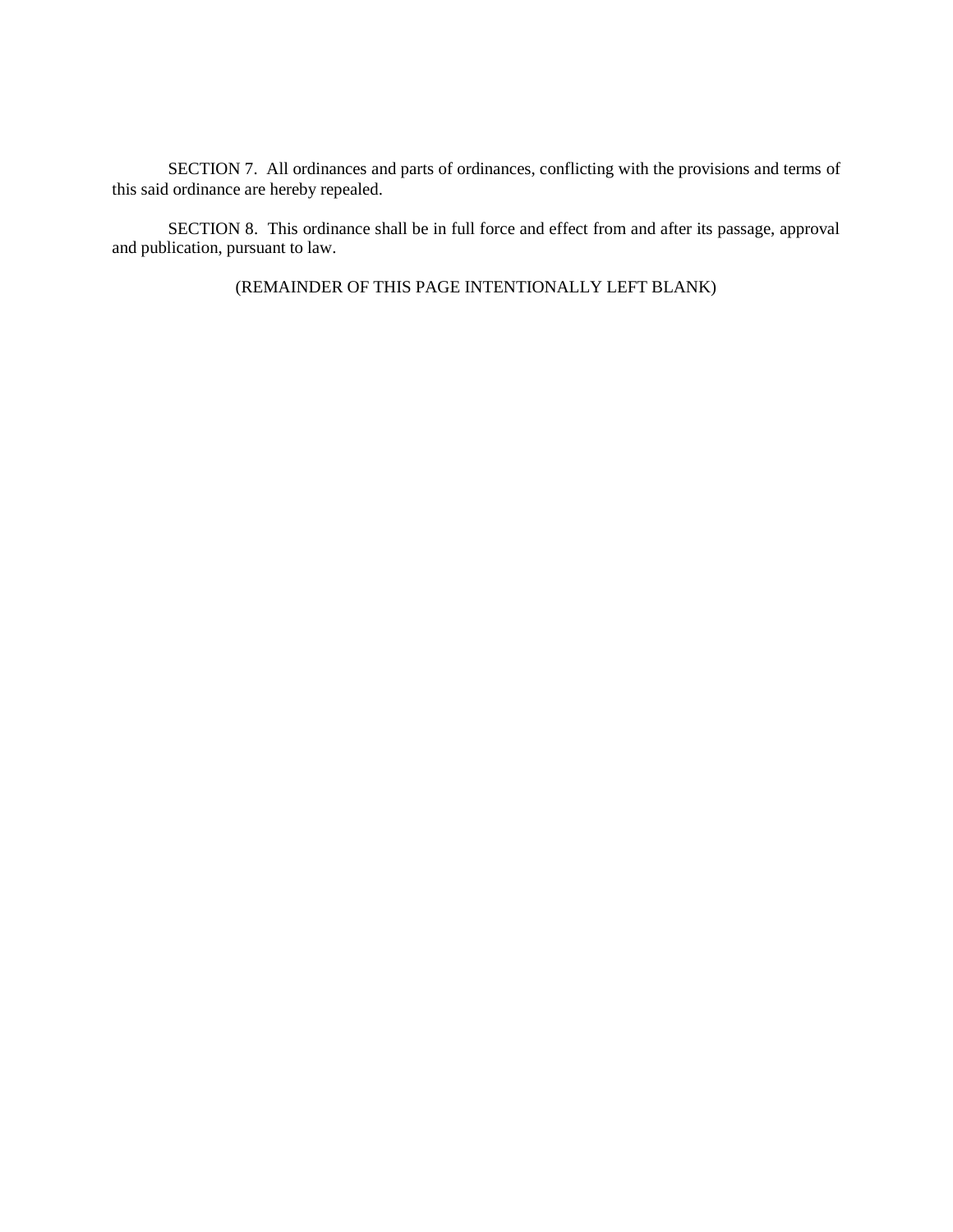SECTION 7. All ordinances and parts of ordinances, conflicting with the provisions and terms of this said ordinance are hereby repealed.

SECTION 8. This ordinance shall be in full force and effect from and after its passage, approval and publication, pursuant to law.

(REMAINDER OF THIS PAGE INTENTIONALLY LEFT BLANK)